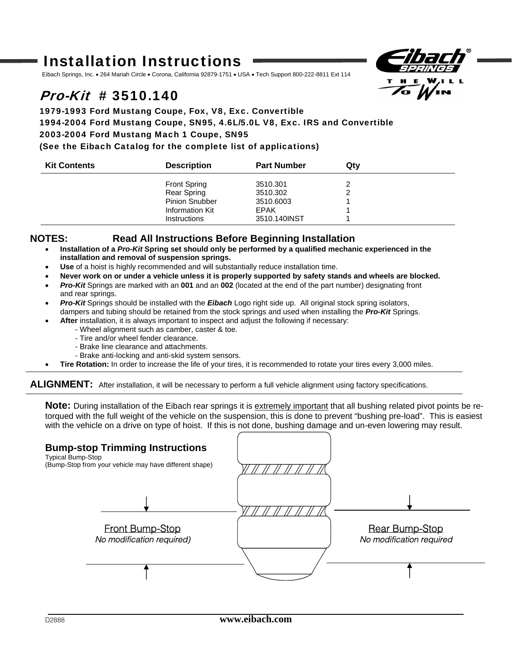# Installation Instructions

Eibach Springs, Inc. • 264 Mariah Circle • Corona, California 92879-1751 • USA • Tech Support 800-222-8811 Ext 114

# $Pro-Kit \# 3510.140$

# 1979-1993 Ford Mustang Coupe, Fox, V8, Exc. Convertible 1994-2004 Ford Mustang Coupe, SN95, 4.6L/5.0L V8, Exc. IRS and Convertible 2003-2004 Ford Mustang Mach 1 Coupe, SN95 (See the Eibach Catalog for the complete list of applications)

| <b>Kit Contents</b> | <b>Description</b>    | <b>Part Number</b> | Qtv |  |
|---------------------|-----------------------|--------------------|-----|--|
|                     | <b>Front Spring</b>   | 3510.301           |     |  |
|                     | Rear Spring           | 3510.302           |     |  |
|                     | <b>Pinion Snubber</b> | 3510,6003          |     |  |
|                     | Information Kit       | EPAK               |     |  |
|                     | <b>Instructions</b>   | 3510.140INST       |     |  |

### **NOTES: Read All Instructions Before Beginning Installation**

- **Installation of a** *Pro-Kit* **Spring set should only be performed by a qualified mechanic experienced in the installation and removal of suspension springs.**
- **Use** of a hoist is highly recommended and will substantially reduce installation time.
- **Never work on or under a vehicle unless it is properly supported by safety stands and wheels are blocked.**
- *Pro-Kit* Springs are marked with an **001** and an **002** (located at the end of the part number) designating front and rear springs.
- *Pro-Kit* Springs should be installed with the *Eibach* Logo right side up. All original stock spring isolators, dampers and tubing should be retained from the stock springs and used when installing the *Pro-Kit* Springs.
- **After** installation, it is always important to inspect and adjust the following if necessary:
	- Wheel alignment such as camber, caster & toe.
	- Tire and/or wheel fender clearance.
	- Brake line clearance and attachments.
	- Brake anti-locking and anti-skid system sensors.
- **Tire Rotation:** In order to increase the life of your tires, it is recommended to rotate your tires every 3,000 miles.

ALIGNMENT: After installation, it will be necessary to perform a full vehicle alignment using factory specifications.

**Note:** During installation of the Eibach rear springs it is extremely important that all bushing related pivot points be retorqued with the full weight of the vehicle on the suspension, this is done to prevent "bushing pre-load". This is easiest with the vehicle on a drive on type of hoist. If this is not done, bushing damage and un-even lowering may result.